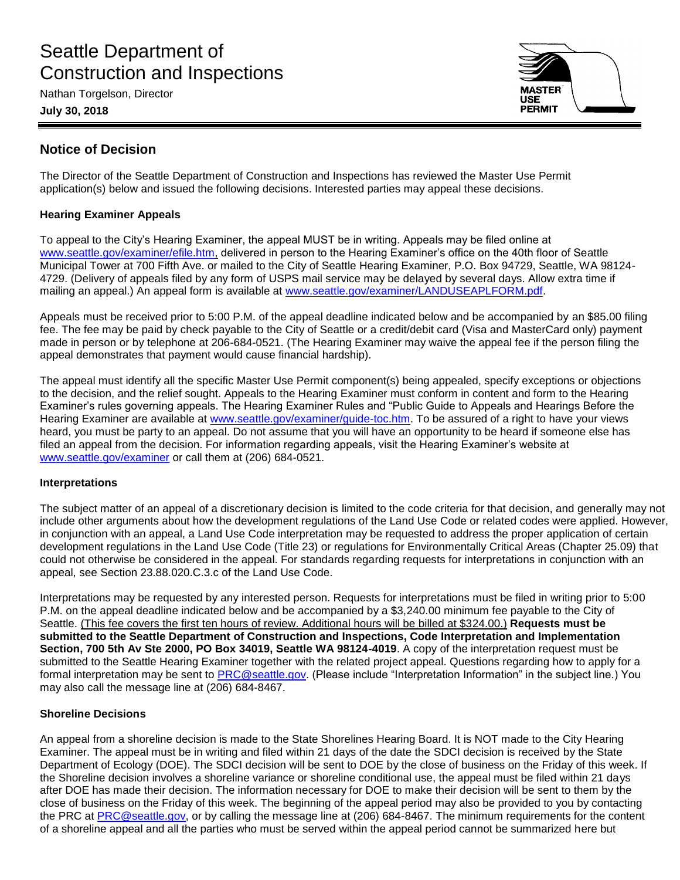# Seattle Department of Construction and Inspections

Nathan Torgelson, Director

**July 30, 2018**



# **Notice of Decision**

The Director of the Seattle Department of Construction and Inspections has reviewed the Master Use Permit application(s) below and issued the following decisions. Interested parties may appeal these decisions.

# **Hearing Examiner Appeals**

To appeal to the City's Hearing Examiner, the appeal MUST be in writing. Appeals may be filed online at [www.seattle.gov/examiner/efile.htm,](http://www.seattle.gov/examiner/efile.htm) delivered in person to the Hearing Examiner's office on the 40th floor of Seattle Municipal Tower at 700 Fifth Ave. or mailed to the City of Seattle Hearing Examiner, P.O. Box 94729, Seattle, WA 98124- 4729. (Delivery of appeals filed by any form of USPS mail service may be delayed by several days. Allow extra time if mailing an appeal.) An appeal form is available at [www.seattle.gov/examiner/LANDUSEAPLFORM.pdf.](http://www.seattle.gov/examiner/LANDUSEAPLFORM.pdf)

Appeals must be received prior to 5:00 P.M. of the appeal deadline indicated below and be accompanied by an \$85.00 filing fee. The fee may be paid by check payable to the City of Seattle or a credit/debit card (Visa and MasterCard only) payment made in person or by telephone at 206-684-0521. (The Hearing Examiner may waive the appeal fee if the person filing the appeal demonstrates that payment would cause financial hardship).

The appeal must identify all the specific Master Use Permit component(s) being appealed, specify exceptions or objections to the decision, and the relief sought. Appeals to the Hearing Examiner must conform in content and form to the Hearing Examiner's rules governing appeals. The Hearing Examiner Rules and "Public Guide to Appeals and Hearings Before the Hearing Examiner are available at [www.seattle.gov/examiner/guide-toc.htm.](http://www.seattle.gov/examiner/guide-toc.htm) To be assured of a right to have your views heard, you must be party to an appeal. Do not assume that you will have an opportunity to be heard if someone else has filed an appeal from the decision. For information regarding appeals, visit the Hearing Examiner's website at [www.seattle.gov/examiner](http://www.seattle.gov/examiner) or call them at (206) 684-0521.

# **Interpretations**

The subject matter of an appeal of a discretionary decision is limited to the code criteria for that decision, and generally may not include other arguments about how the development regulations of the Land Use Code or related codes were applied. However, in conjunction with an appeal, a Land Use Code interpretation may be requested to address the proper application of certain development regulations in the Land Use Code (Title 23) or regulations for Environmentally Critical Areas (Chapter 25.09) that could not otherwise be considered in the appeal. For standards regarding requests for interpretations in conjunction with an appeal, see Section 23.88.020.C.3.c of the Land Use Code.

Interpretations may be requested by any interested person. Requests for interpretations must be filed in writing prior to 5:00 P.M. on the appeal deadline indicated below and be accompanied by a \$3,240.00 minimum fee payable to the City of Seattle. (This fee covers the first ten hours of review. Additional hours will be billed at \$324.00.) **Requests must be submitted to the Seattle Department of Construction and Inspections, Code Interpretation and Implementation Section, 700 5th Av Ste 2000, PO Box 34019, Seattle WA 98124-4019**. A copy of the interpretation request must be submitted to the Seattle Hearing Examiner together with the related project appeal. Questions regarding how to apply for a formal interpretation may be sent to [PRC@seattle.gov.](mailto:PRC@seattle.gov) (Please include "Interpretation Information" in the subject line.) You may also call the message line at (206) 684-8467.

# **Shoreline Decisions**

An appeal from a shoreline decision is made to the State Shorelines Hearing Board. It is NOT made to the City Hearing Examiner. The appeal must be in writing and filed within 21 days of the date the SDCI decision is received by the State Department of Ecology (DOE). The SDCI decision will be sent to DOE by the close of business on the Friday of this week. If the Shoreline decision involves a shoreline variance or shoreline conditional use, the appeal must be filed within 21 days after DOE has made their decision. The information necessary for DOE to make their decision will be sent to them by the close of business on the Friday of this week. The beginning of the appeal period may also be provided to you by contacting the PRC at [PRC@seattle.gov,](mailto:PRC@seattle.gov) or by calling the message line at (206) 684-8467. The minimum requirements for the content of a shoreline appeal and all the parties who must be served within the appeal period cannot be summarized here but